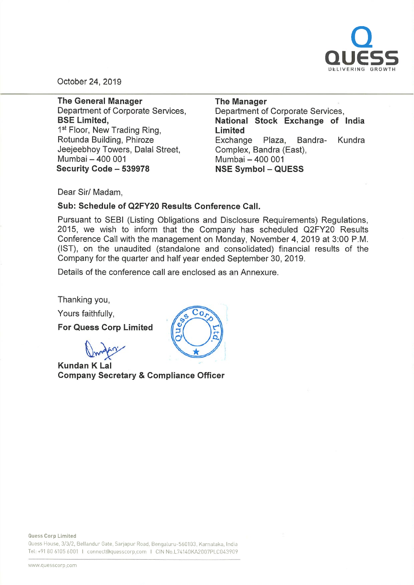

October 24, 2019

The General Manager Department of Corporate Services, BSE Limited, 1<sup>st</sup> Floor, New Trading Ring, Rotunda Building, Phiroze Jeejeebhoy Towers, Dalal Street, Mumbai - 400 001 Security Code - 539978

The Manager Department of Corporate Services, National Stock Exchange of India Limited Exchange Plaza, Bandra- Kundra Complex, Sandra (East), Mumbai - 400 001 NSE Symbol - QUESS

Dear Sir/ Madam,

### Sub: Schedule of Q2FY20 Results Conference Call.

Pursuant to SEBl (Listing Obligations and Disclosure Requirements) Regulations, 2015, we wish to inform that the Company has scheduled Q2FY20 Results Conference Call with the management on Monday, November 4, 2019 at 3:00 P.M. (1ST), on the unaudited (standalone and consolidated) financial results of the Company for the quarter and half year ended September 30, 2019.

Details of the conference call are enclosed as an Annexure.

Thanking you,

Yours faithfully,

For Quess Corp Limited

Drn2

Kundan K Lal Company Secretary & Compliance Officer